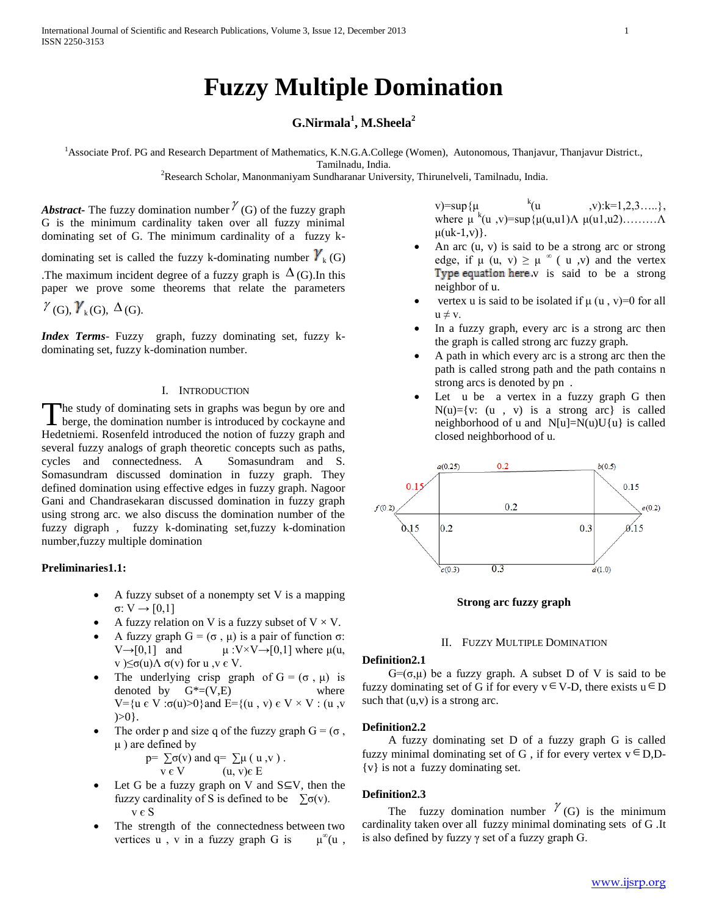# **Fuzzy Multiple Domination**

## **G.Nirmala<sup>1</sup> , M.Sheela<sup>2</sup>**

<sup>1</sup>Associate Prof. PG and Research Department of Mathematics, K.N.G.A.College (Women), Autonomous, Thanjavur, Thanjavur District., Tamilnadu, India.

<sup>2</sup>Research Scholar, Manonmaniyam Sundharanar University, Thirunelveli, Tamilnadu, India.

Abstract The fuzzy domination number  $\chi$  (G) of the fuzzy graph G is the minimum cardinality taken over all fuzzy minimal dominating set of G. The minimum cardinality of a fuzzy kdominating set is called the fuzzy k-dominating number  $\gamma_k(G)$ The maximum incident degree of a fuzzy graph is  $\Delta(G)$ . In this paper we prove some theorems that relate the parameters

 $\gamma$ <sub>(G)</sub>,  $\gamma$ <sub>k</sub>(G),  $\Delta$ <sub>(G)</sub>.

*Index Terms*- Fuzzy graph, fuzzy dominating set, fuzzy kdominating set, fuzzy k-domination number.

## I. INTRODUCTION

The study of dominating sets in graphs was begun by ore and The study of dominating sets in graphs was begun by ore and berge, the domination number is introduced by cockayne and Hedetniemi. Rosenfeld introduced the notion of fuzzy graph and several fuzzy analogs of graph theoretic concepts such as paths, cycles and connectedness. A Somasundram and S. Somasundram discussed domination in fuzzy graph. They defined domination using effective edges in fuzzy graph. Nagoor Gani and Chandrasekaran discussed domination in fuzzy graph using strong arc. we also discuss the domination number of the fuzzy digraph , fuzzy k-dominating set,fuzzy k-domination number,fuzzy multiple domination

## **Preliminaries1.1:**

- A fuzzy subset of a nonempty set V is a mapping σ: V → [0,1]
- A fuzzy relation on V is a fuzzy subset of  $V \times V$ .
- A fuzzy graph  $G = (\sigma, \mu)$  is a pair of function  $\sigma$ :  $V \rightarrow [0,1]$  and  $\mu : V \times V \rightarrow [0,1]$  where  $\mu(u,$ v  $\leq \sigma(u)$ Λ σ(v) for u ,v ε V.
- The underlying crisp graph of  $G = (\sigma, \mu)$  is denoted by  $G^*=(V,E)$  where V={u  $\epsilon$  V : σ(u)>0}and E={(u, v)  $\epsilon$  V × V : (u, v  $>>0$ .
- The order p and size q of the fuzzy graph  $G = (\sigma,$  $\mu$ ) are defined by

$$
p = \sum_{v \in V} \sigma(v) \text{ and } q = \sum_{v \in V} \mu(u, v).
$$

- Let G be a fuzzy graph on V and  $S \subseteq V$ , then the fuzzy cardinality of S is defined to be  $\sum \sigma(v)$ . v є S
- The strength of the connectedness between two vertices  $u$ ,  $v$  in a fuzzy graph G is  $\mu^{\infty}(u$ ,

v)=sup  $\{u \}$  k(u  $,v):k=1,2,3,...,$ }, where  $\mu^{k}(u, v) = \sup\{\mu(u, u)\}\Lambda \mu(u, u^2)\dots \dots \Lambda$  $\mu(uk-1,v)$ .

- An arc (u, v) is said to be a strong arc or strong edge, if  $\mu$  (u, v)  $\geq \mu^{\infty}$  (u, v) and the vertex Type equation here  $v$  is said to be a strong neighbor of u.
- vertex u is said to be isolated if  $\mu$  (u, v)=0 for all  $u \neq v$ .
- In a fuzzy graph, every arc is a strong arc then the graph is called strong arc fuzzy graph.
- A path in which every arc is a strong arc then the path is called strong path and the path contains n strong arcs is denoted by pn .
- Let u be a vertex in a fuzzy graph G then  $N(u)=\{v: (u, v) \text{ is a strong arc} \}$  is called neighborhood of u and  $N[u]=N(u)U\{u\}$  is called closed neighborhood of u.



## **Strong arc fuzzy graph**

## II. FUZZY MULTIPLE DOMINATION

## **Definition2.1**

G=( $\sigma$ , $\mu$ ) be a fuzzy graph. A subset D of V is said to be fuzzy dominating set of G if for every  $v \in V-D$ , there exists  $u \in D$ such that  $(u,v)$  is a strong arc.

#### **Definition2.2**

 A fuzzy dominating set D of a fuzzy graph G is called fuzzy minimal dominating set of G, if for every vertex  $v \in D, D$ -{v} is not a fuzzy dominating set.

## **Definition2.3**

The fuzzy domination number  $\gamma$  (G) is the minimum cardinality taken over all fuzzy minimal dominating sets of G .It is also defined by fuzzy  $\gamma$  set of a fuzzy graph G.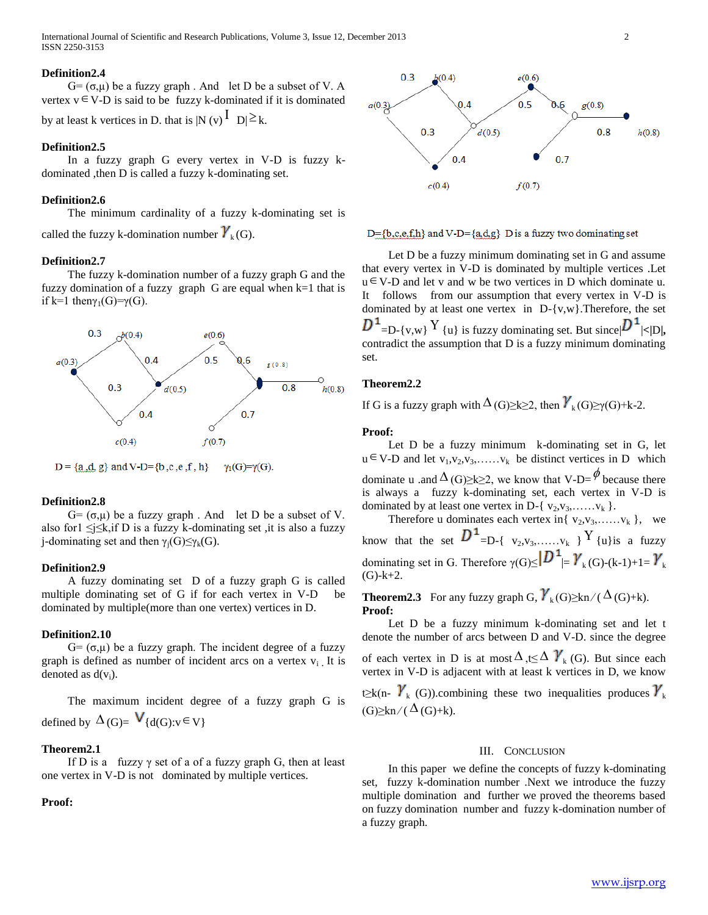International Journal of Scientific and Research Publications, Volume 3, Issue 12, December 2013 2 ISSN 2250-3153

### **Definition2.4**

 $G=(\sigma,\mu)$  be a fuzzy graph. And let D be a subset of V. A vertex  $v \in V-D$  is said to be fuzzy k-dominated if it is dominated

by at least k vertices in D. that is  $|N(v)|^{\overline{I}} |D| \ge k$ .

## **Definition2.5**

 In a fuzzy graph G every vertex in V-D is fuzzy kdominated ,then D is called a fuzzy k-dominating set.

## **Definition2.6**

 The minimum cardinality of a fuzzy k-dominating set is called the fuzzy k-domination number  $\boldsymbol{Y}_{k}(G)$ .

#### **Definition2.7**

 The fuzzy k-domination number of a fuzzy graph G and the fuzzy domination of a fuzzy graph G are equal when  $k=1$  that is if k=1 thenγ<sub>1</sub>(G)=γ(G).



 $D = \{a, d, g\}$  and V-D= $\{b, c, e, f, h\}$  $\gamma_1(G)=\gamma(G)$ .

## **Definition2.8**

G=  $(\sigma, \mu)$  be a fuzzy graph. And let D be a subset of V. also for1  $\leq j \leq k$ , if D is a fuzzy k-dominating set , it is also a fuzzy j-dominating set and then  $\gamma_i(G) \leq \gamma_k(G)$ .

#### **Definition2.9**

 A fuzzy dominating set D of a fuzzy graph G is called multiple dominating set of G if for each vertex in V-D be dominated by multiple(more than one vertex) vertices in D.

#### **Definition2.10**

G=  $(\sigma, \mu)$  be a fuzzy graph. The incident degree of a fuzzy graph is defined as number of incident arcs on a vertex v<sup>i</sup> **.** It is denoted as  $d(v_i)$ .

 The maximum incident degree of a fuzzy graph G is defined by  $\Delta(G) = V_{d(G):V} \in V$ 

## **Theorem2.1**

If D is a fuzzy  $\gamma$  set of a of a fuzzy graph G, then at least one vertex in V-D is not dominated by multiple vertices.

## **Proof:**



 $D = \{b, c, e, f, h\}$  and V- $D = \{a, d, g\}$  D is a fuzzy two dominating set

Let D be a fuzzy minimum dominating set in G and assume that every vertex in V-D is dominated by multiple vertices .Let  $u \in V$ -D and let v and w be two vertices in D which dominate u. It followsfrom our assumption that every vertex in V-D is dominated by at least one vertex in D-{v,w}.Therefore, the set  $=$ D-{v,w}<sup>Y</sup> {u} is fuzzy dominating set. But since  $|D^1|$ <|D|, contradict the assumption that D is a fuzzy minimum dominating set.

## **Theorem2.2**

If G is a fuzzy graph with  $\Delta(G) \ge k \ge 2$ , then  $\gamma_k(G) \ge \gamma(G)+k-2$ .

#### **Proof:**

 Let D be a fuzzy minimum k-dominating set in G, let  $u \in V-D$  and let  $v_1, v_2, v_3, \ldots, v_k$  be distinct vertices in D which dominate u .and  $\Delta(G) \ge k \ge 2$ , we know that V-D= $\phi$  because there is always a fuzzy k-dominating set, each vertex in V-D is dominated by at least one vertex in D-{ $v_2, v_3, \ldots, v_k$  }.

Therefore u dominates each vertex in{  $v_2, v_3, \ldots, v_k$  }, we know that the set  $D^1$  =D-{  $v_2, v_3, \ldots, v_k$  } Y {u}is a fuzzy dominating set in G. Therefore  $\gamma(G) \leq |D^1| = \gamma_k(G) - (k-1)+1 = \gamma_k$  $(G)-k+2.$ 

**Theorem2.3** For any fuzzy graph G,  $\mathcal{V}_k(G) \geq kn / (\Delta(G)+k)$ . **Proof:** 

 Let D be a fuzzy minimum k-dominating set and let t denote the number of arcs between D and V-D. since the degree of each vertex in D is at most  $\Delta$ , t $\leq \Delta$   $\boldsymbol{Y}_{k}$  (G). But since each vertex in V-D is adjacent with at least k vertices in D, we know t≥k(n-  $\gamma_k(G)$ ).combining these two inequalities produces  $\gamma_k$  $(G)\geq kn/(\Delta(G)+k).$ 

## III. CONCLUSION

 In this paper we define the concepts of fuzzy k-dominating set, fuzzy k-domination number .Next we introduce the fuzzy multiple domination and further we proved the theorems based on fuzzy domination number and fuzzy k-domination number of a fuzzy graph.